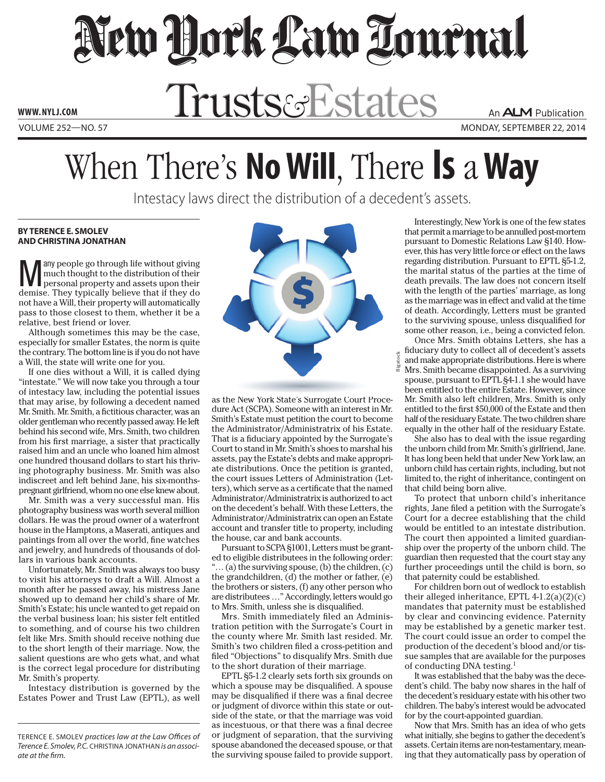New Dock Law Tournal

WWW.NYLJ.COM Trusts&Estates

Volume 252—NO. 57 monday, september 22, 2014

## When There's **No Will**, There **Is** a**Way**

Intestacy laws direct the distribution of a decedent's assets.

## **BY TERENCE E. SMOLEV and CHRISTINA JONATHAN**

**Many** people go through life without giving<br>much thought to the distribution of their<br>personal property and assets upon their<br>density and the set of the set of the set of the set of the set of the set of the set of the<br>de much thought to the distribution of their demise. They typically believe that if they do not have a Will, their property will automatically pass to those closest to them, whether it be a relative, best friend or lover.

Although sometimes this may be the case, especially for smaller Estates, the norm is quite the contrary. The bottom line is if you do not have a Will, the state will write one for you.

If one dies without a Will, it is called dying "intestate." We will now take you through a tour of intestacy law, including the potential issues that may arise, by following a decedent named Mr. Smith. Mr. Smith, a fictitious character, was an older gentleman who recently passed away. He left behind his second wife, Mrs. Smith, two children from his first marriage, a sister that practically raised him and an uncle who loaned him almost one hundred thousand dollars to start his thriving photography business. Mr. Smith was also indiscreet and left behind Jane, his six-monthspregnant girlfriend, whom no one else knew about.

Mr. Smith was a very successful man. His photography business was worth several million dollars. He was the proud owner of a waterfront house in the Hamptons, a Maserati, antiques and paintings from all over the world, fine watches and jewelry, and hundreds of thousands of dollars in various bank accounts.

Unfortunately, Mr. Smith was always too busy to visit his attorneys to draft a Will. Almost a month after he passed away, his mistress Jane showed up to demand her child's share of Mr. Smith's Estate; his uncle wanted to get repaid on the verbal business loan; his sister felt entitled to something, and of course his two children felt like Mrs. Smith should receive nothing due to the short length of their marriage. Now, the salient questions are who gets what, and what is the correct legal procedure for distributing Mr. Smith's property.

Intestacy distribution is governed by the Estates Power and Trust Law (EPTL), as well



as the New York State's Surrogate Court Procedure Act (SCPA). Someone with an interest in Mr. Smith's Estate must petition the court to become the Administrator/Administratrix of his Estate. That is a fiduciary appointed by the Surrogate's Court to stand in Mr. Smith's shoes to marshal his assets, pay the Estate's debts and make appropriate distributions. Once the petition is granted, the court issues Letters of Administration (Letters), which serve as a certificate that the named Administrator/Administratrix is authorized to act on the decedent's behalf. With these Letters, the Administrator/Administratrix can open an Estate account and transfer title to property, including the house, car and bank accounts.

Pursuant to SCPA §1001, Letters must be granted to eligible distributees in the following order:  $\ldots$  (a) the surviving spouse, (b) the children, (c) the grandchildren, (d) the mother or father, (e) the brothers or sisters, (f) any other person who are distributees …" Accordingly, letters would go to Mrs. Smith, unless she is disqualified.

Mrs. Smith immediately filed an Administration petition with the Surrogate's Court in the county where Mr. Smith last resided. Mr. Smith's two children filed a cross-petition and filed "Objections" to disqualify Mrs. Smith due to the short duration of their marriage.

EPTL §5-1.2 clearly sets forth six grounds on which a spouse may be disqualified. A spouse may be disqualified if there was a final decree or judgment of divorce within this state or outside of the state, or that the marriage was void as incestuous, or that there was a final decree or judgment of separation, that the surviving spouse abandoned the deceased spouse, or that the surviving spouse failed to provide support.

Interestingly, New York is one of the few states that permit a marriage to be annulled post-mortem pursuant to Domestic Relations Law §140. However, this has very little force or effect on the laws regarding distribution. Pursuant to EPTL §5-1.2, the marital status of the parties at the time of death prevails. The law does not concern itself with the length of the parties' marriage, as long as the marriage was in effect and valid at the time of death. Accordingly, Letters must be granted to the surviving spouse, unless disqualified for some other reason, i.e., being a convicted felon.

Once Mrs. Smith obtains Letters, she has a fiduciary duty to collect all of decedent's assets and make appropriate distributions. Here is where Mrs. Smith became disappointed. As a surviving spouse, pursuant to EPTL §4-1.1 she would have been entitled to the entire Estate. However, since Mr. Smith also left children, Mrs. Smith is only entitled to the first \$50,000 of the Estate and then half of the residuary Estate. The two children share equally in the other half of the residuary Estate. Bigsto

She also has to deal with the issue regarding the unborn child from Mr. Smith's girlfriend, Jane. It has long been held that under New York law, an unborn child has certain rights, including, but not limited to, the right of inheritance, contingent on that child being born alive.

To protect that unborn child's inheritance rights, Jane filed a petition with the Surrogate's Court for a decree establishing that the child would be entitled to an intestate distribution. The court then appointed a limited guardianship over the property of the unborn child. The guardian then requested that the court stay any further proceedings until the child is born, so that paternity could be established.

For children born out of wedlock to establish their alleged inheritance, EPTL  $4-1.2(a)(2)(c)$ mandates that paternity must be established by clear and convincing evidence. Paternity may be established by a genetic marker test. The court could issue an order to compel the production of the decedent's blood and/or tissue samples that are available for the purposes of conducting DNA testing.1

It was established that the baby was the decedent's child. The baby now shares in the half of the decedent's residuary estate with his other two children. The baby's interest would be advocated for by the court-appointed guardian.

Now that Mrs. Smith has an idea of who gets what initially, she begins to gather the decedent's assets. Certain items are non-testamentary, meaning that they automatically pass by operation of

Terence E. Smolev *practices law at the Law Offices of Terence E. Smolev, P.C.* Christina Jonathan *is an associate at the firm.*